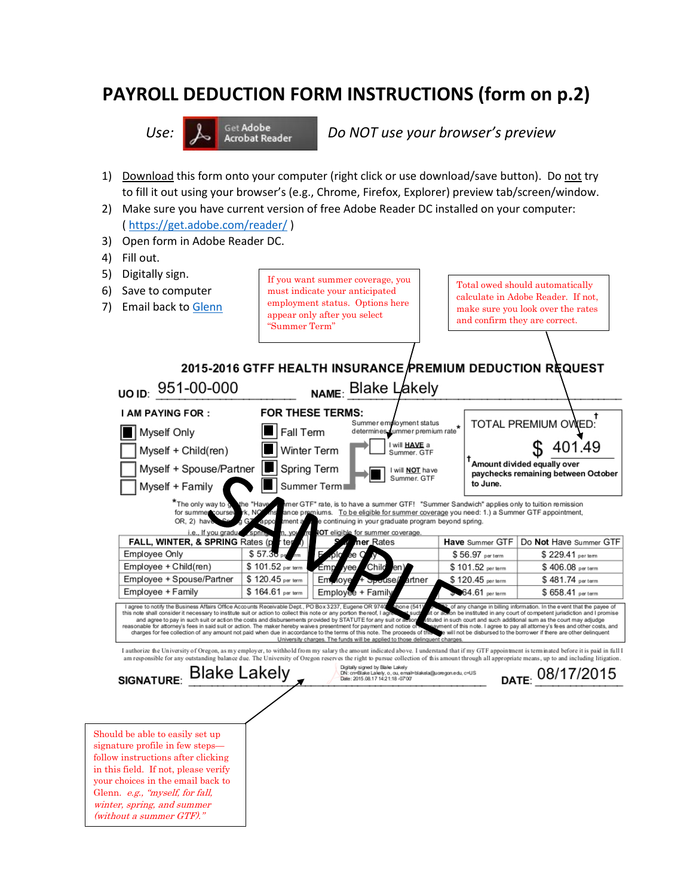## **PAYROLL DEDUCTION FORM INSTRUCTIONS (form on p.2)**



Use: **A set Adobe Do NOT use your browser's preview** 

- 1) Download this form onto your computer (right click or use download/save button). Do not try to fill it out using your browser's (e.g., Chrome, Firefox, Explorer) preview tab/screen/window.
- 2) Make sure you have current version of free Adobe Reader DC installed on your computer: (<https://get.adobe.com/reader/> )
- 3) Open form in Adobe Reader DC.
- 4) Fill out.

Glenn. e.g., "myself, for fall, winter, spring, and summer (without a summer GTF)."

5) Digitally sign. If you want summer coverage, you Total owed should automatically 6) Save to computer must indicate your anticipated calculate in Adobe Reader. If not, employment status. Options here 7) Email back to [Glenn](mailto:benefits@gtff.net) make sure you look over the rates appear only after you select and confirm they are correct. "Summer Term" 2015-2016 GTFF HEALTH INSURANCE PREMIUM DEDUCTION REQUEST UO ID: 951-00-000 NAME: Blake Lakely **I AM PAYING FOR:** FOR THESE TERMS: Summer employment status TOTAL PREMIUM OWED:  $\blacksquare$  Fall Term Myself Only determines summer premium rate will **HAVE** a 401.49 Myself + Child(ren) Winter Term . . Summer, GTF Amount divided equally over Myself + Spouse/Partner | Spring Term I will NOT have paychecks remaining between October Summer. GTF to June. Summer Term Myself + Family \*The only way to ner GTF" rate, is to have a summer GTF! "Summer Sandwich" applies only to tuition remission for summer niums. To be eligible for summer coverage you need: 1.) a Summer GTF appointment, nce pre OR. 2) hav continuing in your graduate program beyond spring. i.e., If you gradu for summer coverage FALL, WINTER, & SPRING Rates ( Have Summer GTF Do Not Have Summer GTF **er** Rates \$56.97 per term Employee Only \$57. \$229.41 per term Employee + Child(ren) \$101.52 per \$101.52 per term \$406.08 per term Employee + Spouse/Partner \$120.45 per term Em inter \$120.45 per term \$481.74 per term 64.61 per term \$658.41 per term Employee + Family \$164.61 per term Employe + Famil I agree to notify the Business Affairs Office Accounts Receivable Dept., PO Box 3237, Eugene OR 9740<br>this note shall consider it necessary to institute suit or action to collect this note or any portion thereof, I ag f any change in billing information. In the event that the payee of<br>I be instituted in any court of competent jurisdiction and I promise and agree to pay in such suit or action the costs and disbursements provided by STATUTE for any suit or<br>sonable for attorney's fees in said suit or action. The maker hereby waives presentment for payment and no<br>charges for ted in such court and such additional sum as the court may adjudge t of this note. I agree to pay all attorney's fees and other costs, and<br>will not be disbursed to the borrower if there are other delinquent reasonable nd notice University charges. The funds will be applied to those delin I authorize the University of Oregon, as my employer, to withhold from my salary the amount indicated above. I understand that if my GTF appointment is term inated before it is paid in full I am responsible for any outstanding balance due. The University of Oregon reserves the right to pursue collection of this amount through all appropriate means, up to and including litigatio SIGNATURE: Blake Lakely Digitally signed by Blake Lakely<br>DN: cn=Blake Lakely, o, ou, emai<br>Date: 2015.08.17 14:21:18 -07'00 DATE: 08/17/2015 il=blakela@uoregon.edu, c=US Should be able to easily set up signature profile in few steps follow instructions after clicking in this field. If not, please verify your choices in the email back to